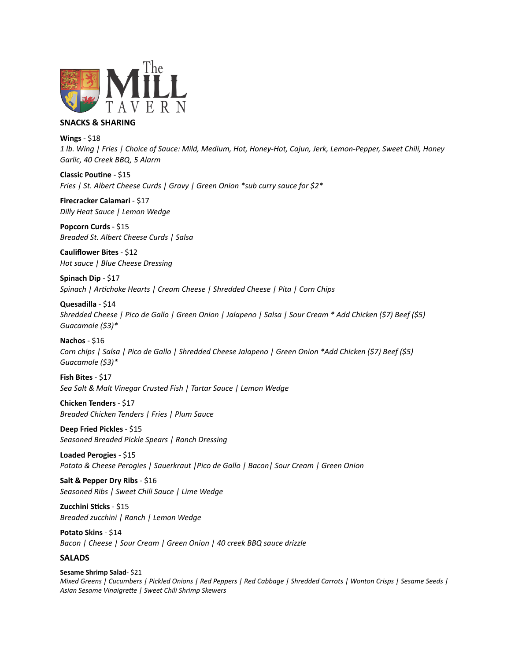

## **SNACKS & SHARING**

**Wings** - \$18

*1 lb. Wing | Fries | Choice of Sauce: Mild, Medium, Hot, Honey-Hot, Cajun, Jerk, Lemon-Pepper, Sweet Chili, Honey Garlic, 40 Creek BBQ, 5 Alarm* 

**Classic Poutine** - \$15 *Fries | St. Albert Cheese Curds | Gravy | Green Onion \*sub curry sauce for \$2\** 

**Firecracker Calamari** - \$17 *Dilly Heat Sauce | Lemon Wedge* 

**Popcorn Curds** - \$15 *Breaded St. Albert Cheese Curds | Salsa* 

**Cauliflower Bites** - \$12 *Hot sauce | Blue Cheese Dressing* 

**Spinach Dip** - \$17 *Spinach | Artichoke Hearts | Cream Cheese | Shredded Cheese | Pita | Corn Chips* 

**Quesadilla** - \$14 *Shredded Cheese | Pico de Gallo | Green Onion | Jalapeno | Salsa | Sour Cream \* Add Chicken (\$7) Beef (\$5) Guacamole (\$3)\** 

## **Nachos** - \$16

*Corn chips | Salsa | Pico de Gallo | Shredded Cheese Jalapeno | Green Onion \*Add Chicken (\$7) Beef (\$5) Guacamole (\$3)\** 

**Fish Bites** - \$17 *Sea Salt & Malt Vinegar Crusted Fish | Tartar Sauce | Lemon Wedge* 

**Chicken Tenders** - \$17 *Breaded Chicken Tenders | Fries | Plum Sauce* 

**Deep Fried Pickles** - \$15 *Seasoned Breaded Pickle Spears | Ranch Dressing* 

**Loaded Perogies** - \$15 *Potato & Cheese Perogies | Sauerkraut |Pico de Gallo | Bacon| Sour Cream | Green Onion* 

**Salt & Pepper Dry Ribs** - \$16 *Seasoned Ribs | Sweet Chili Sauce | Lime Wedge* 

**Zucchini Sticks** - \$15 *Breaded zucchini | Ranch | Lemon Wedge* 

**Potato Skins** - \$14 *Bacon | Cheese | Sour Cream | Green Onion | 40 creek BBQ sauce drizzle*

## **SALADS**

**Sesame Shrimp Salad**- \$21 *Mixed Greens | Cucumbers | Pickled Onions | Red Peppers | Red Cabbage | Shredded Carrots | Wonton Crisps | Sesame Seeds | Asian Sesame Vinaigrette | Sweet Chili Shrimp Skewers*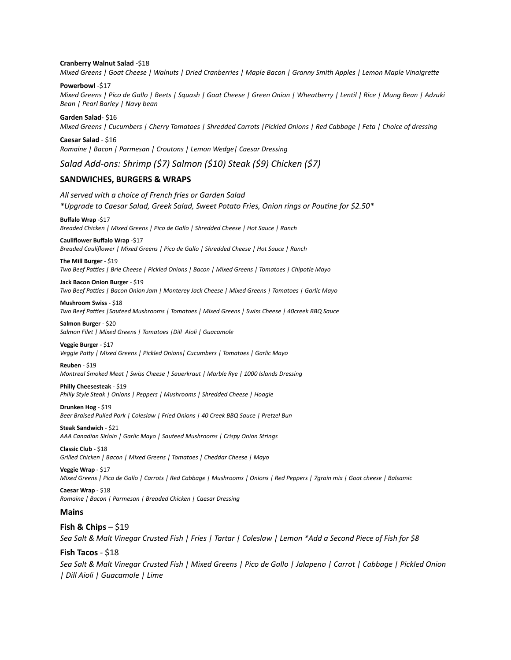#### **Cranberry Walnut Salad** -\$18

*Mixed Greens | Goat Cheese | Walnuts | Dried Cranberries | Maple Bacon | Granny Smith Apples | Lemon Maple Vinaigrette* 

#### **Powerbowl** -\$17

*Mixed Greens | Pico de Gallo | Beets | Squash | Goat Cheese | Green Onion | Wheatberry | Lentil | Rice | Mung Bean | Adzuki Bean | Pearl Barley | Navy bean* 

## **Garden Salad**- \$16 *Mixed Greens | Cucumbers | Cherry Tomatoes | Shredded Carrots |Pickled Onions | Red Cabbage | Feta | Choice of dressing*

**Caesar Salad** - \$16 *Romaine | Bacon | Parmesan | Croutons | Lemon Wedge| Caesar Dressing* 

*Salad Add-ons: Shrimp (\$7) Salmon (\$10) Steak (\$9) Chicken (\$7)* 

## **SANDWICHES, BURGERS & WRAPS**

*All served with a choice of French fries or Garden Salad \*Upgrade to Caesar Salad, Greek Salad, Sweet Potato Fries, Onion rings or Poutine for \$2.50\** 

**Buffalo Wrap** -\$17 *Breaded Chicken | Mixed Greens | Pico de Gallo | Shredded Cheese | Hot Sauce | Ranch* 

#### **Cauliflower Buffalo Wrap** -\$17

*Breaded Cauliflower | Mixed Greens | Pico de Gallo | Shredded Cheese | Hot Sauce | Ranch* 

#### **The Mill Burger** - \$19

*Two Beef Patties | Brie Cheese | Pickled Onions | Bacon | Mixed Greens | Tomatoes | Chipotle Mayo* 

**Jack Bacon Onion Burger** - \$19 *Two Beef Patties | Bacon Onion Jam | Monterey Jack Cheese | Mixed Greens | Tomatoes | Garlic Mayo* 

# **Mushroom Swiss** - \$18

*Two Beef Patties |Sauteed Mushrooms | Tomatoes | Mixed Greens | Swiss Cheese | 40creek BBQ Sauce* 

**Salmon Burger** - \$20 *Salmon Filet | Mixed Greens | Tomatoes |Dill Aioli | Guacamole* 

#### **Veggie Burger** - \$17

*Veggie Patty | Mixed Greens | Pickled Onions| Cucumbers | Tomatoes | Garlic Mayo* 

**Reuben** - \$19

*Montreal Smoked Meat | Swiss Cheese | Sauerkraut | Marble Rye | 1000 Islands Dressing* 

#### **Philly Cheesesteak** - \$19

*Philly Style Steak | Onions | Peppers | Mushrooms | Shredded Cheese | Hoagie* 

**Drunken Hog** - \$19 *Beer Braised Pulled Pork | Coleslaw | Fried Onions | 40 Creek BBQ Sauce | Pretzel Bun* 

#### **Steak Sandwich** - \$21

*AAA Canadian Sirloin | Garlic Mayo | Sauteed Mushrooms | Crispy Onion Strings* 

**Classic Club** - \$18 *Grilled Chicken | Bacon | Mixed Greens | Tomatoes | Cheddar Cheese | Mayo* 

**Veggie Wrap** - \$17 *Mixed Greens | Pico de Gallo | Carrots | Red Cabbage | Mushrooms | Onions | Red Peppers | 7grain mix | Goat cheese | Balsamic* 

**Caesar Wrap** - \$18 *Romaine | Bacon | Parmesan | Breaded Chicken | Caesar Dressing* 

### **Mains**

**Fish & Chips – \$19** *Sea Salt & Malt Vinegar Crusted Fish | Fries | Tartar | Coleslaw | Lemon \*Add a Second Piece of Fish for \$8* 

# **Fish Tacos** - \$18

*Sea Salt & Malt Vinegar Crusted Fish | Mixed Greens | Pico de Gallo | Jalapeno | Carrot | Cabbage | Pickled Onion | Dill Aioli | Guacamole | Lime*